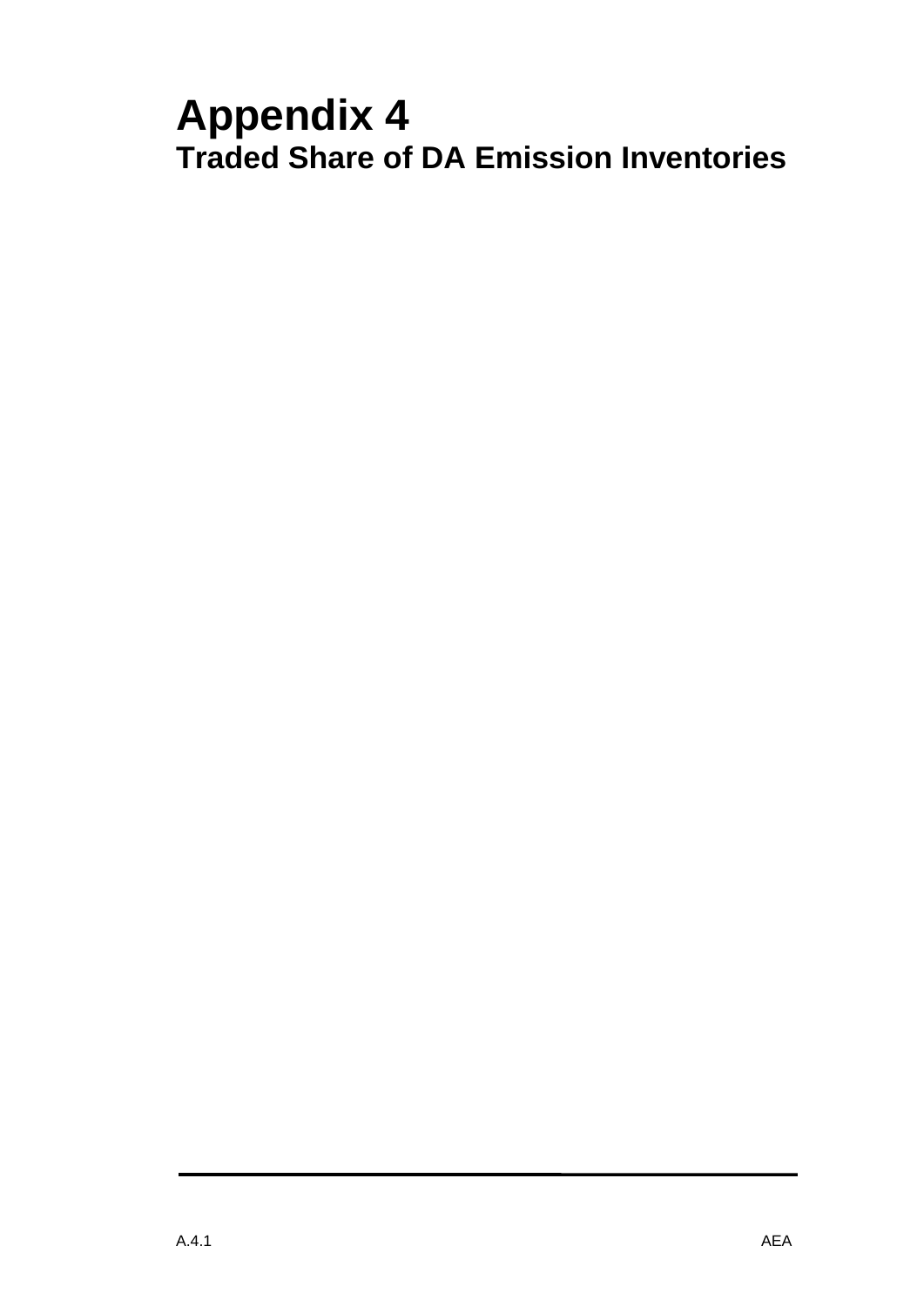# **Appendix 4 Traded Share of DA Emission Inventories**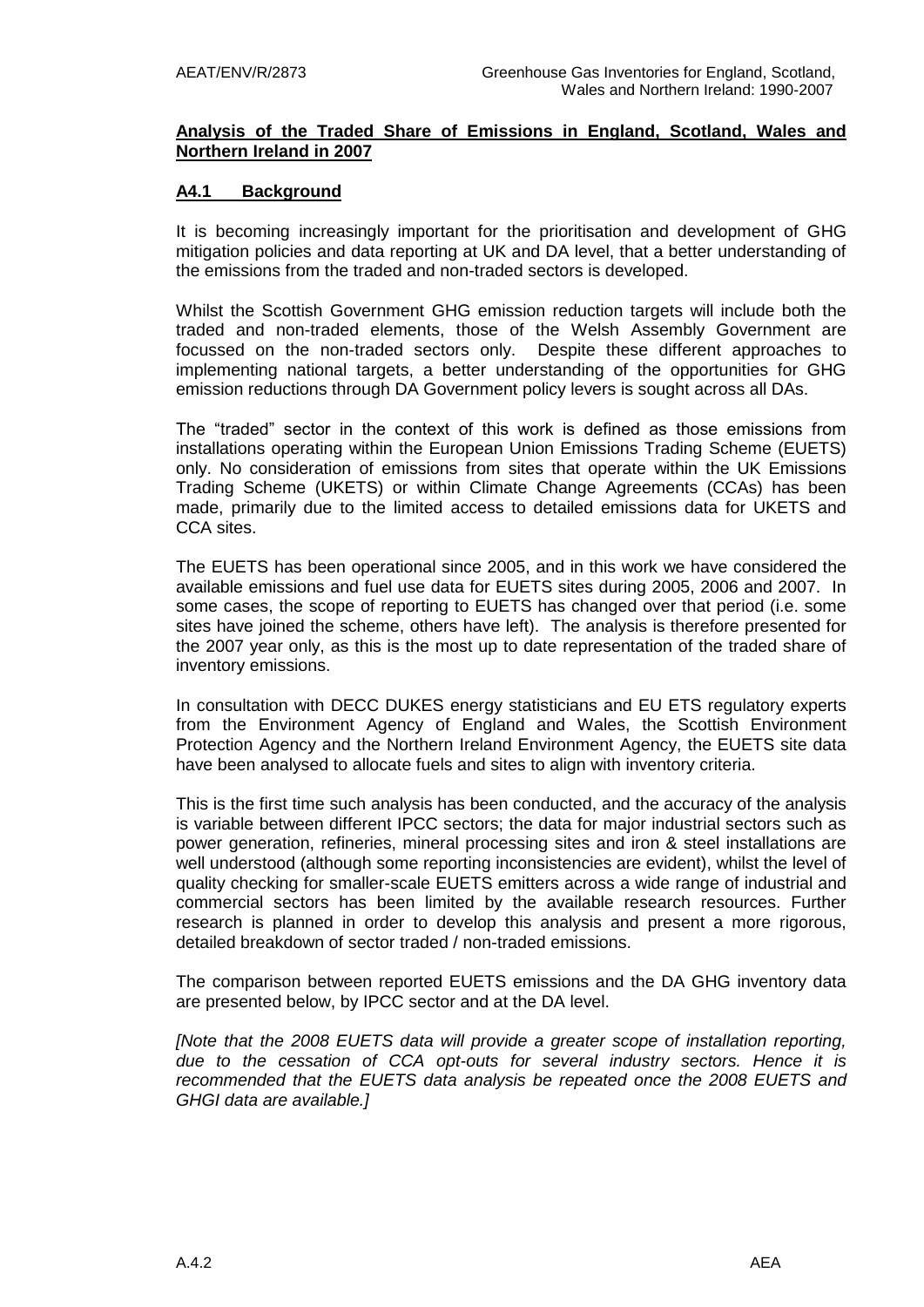### **Analysis of the Traded Share of Emissions in England, Scotland, Wales and Northern Ireland in 2007**

## **A4.1 Background**

It is becoming increasingly important for the prioritisation and development of GHG mitigation policies and data reporting at UK and DA level, that a better understanding of the emissions from the traded and non-traded sectors is developed.

Whilst the Scottish Government GHG emission reduction targets will include both the traded and non-traded elements, those of the Welsh Assembly Government are focussed on the non-traded sectors only. Despite these different approaches to implementing national targets, a better understanding of the opportunities for GHG emission reductions through DA Government policy levers is sought across all DAs.

The "traded" sector in the context of this work is defined as those emissions from installations operating within the European Union Emissions Trading Scheme (EUETS) only. No consideration of emissions from sites that operate within the UK Emissions Trading Scheme (UKETS) or within Climate Change Agreements (CCAs) has been made, primarily due to the limited access to detailed emissions data for UKETS and CCA sites.

The EUETS has been operational since 2005, and in this work we have considered the available emissions and fuel use data for EUETS sites during 2005, 2006 and 2007. In some cases, the scope of reporting to EUETS has changed over that period (i.e. some sites have joined the scheme, others have left). The analysis is therefore presented for the 2007 year only, as this is the most up to date representation of the traded share of inventory emissions.

In consultation with DECC DUKES energy statisticians and EU ETS regulatory experts from the Environment Agency of England and Wales, the Scottish Environment Protection Agency and the Northern Ireland Environment Agency, the EUETS site data have been analysed to allocate fuels and sites to align with inventory criteria.

This is the first time such analysis has been conducted, and the accuracy of the analysis is variable between different IPCC sectors; the data for major industrial sectors such as power generation, refineries, mineral processing sites and iron & steel installations are well understood (although some reporting inconsistencies are evident), whilst the level of quality checking for smaller-scale EUETS emitters across a wide range of industrial and commercial sectors has been limited by the available research resources. Further research is planned in order to develop this analysis and present a more rigorous, detailed breakdown of sector traded / non-traded emissions.

The comparison between reported EUETS emissions and the DA GHG inventory data are presented below, by IPCC sector and at the DA level.

*[Note that the 2008 EUETS data will provide a greater scope of installation reporting, due to the cessation of CCA opt-outs for several industry sectors. Hence it is recommended that the EUETS data analysis be repeated once the 2008 EUETS and GHGI data are available.]*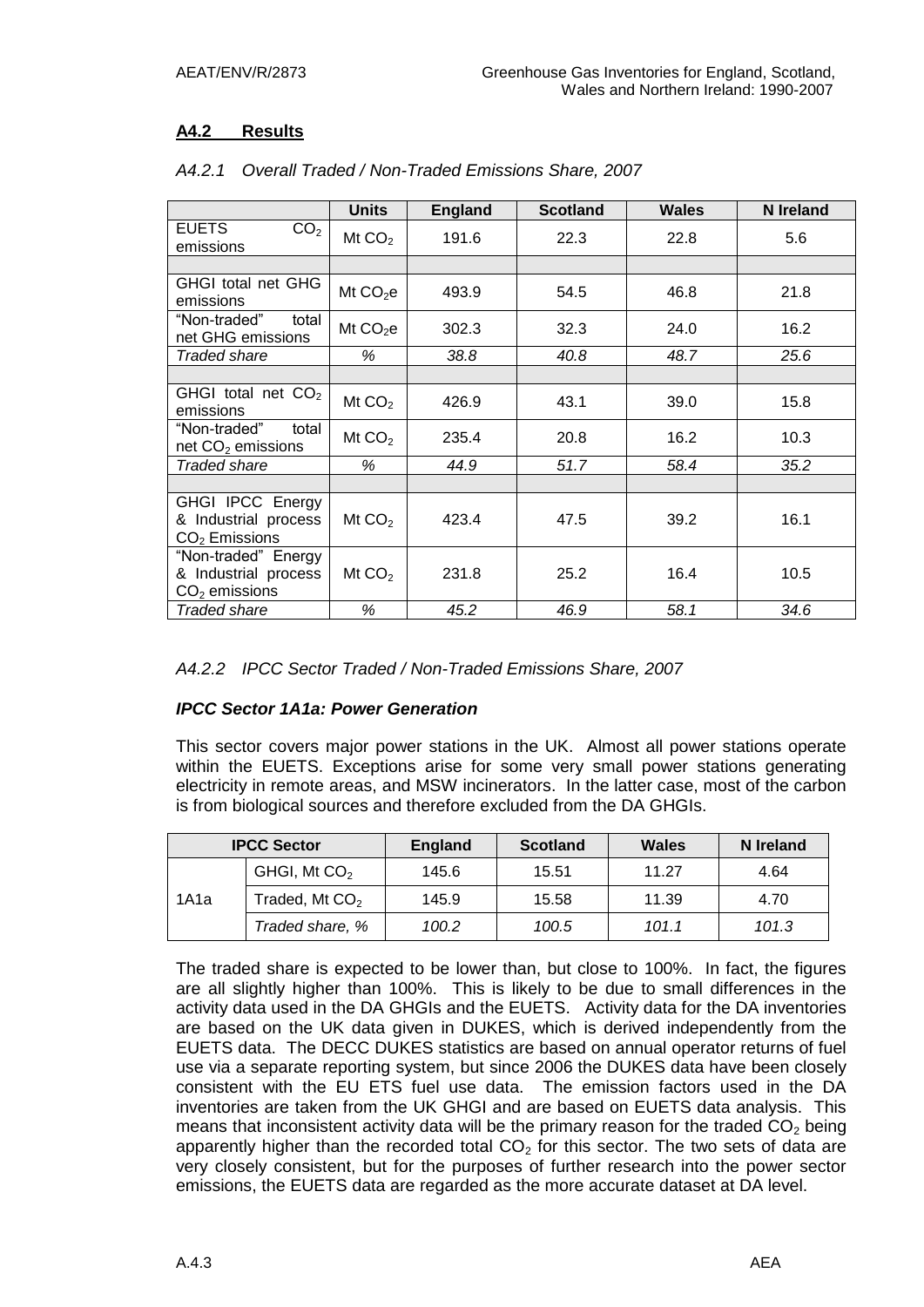## **A4.2 Results**

|                                              | <b>Units</b>         | <b>England</b> | <b>Scotland</b> | <b>Wales</b> | <b>N</b> Ireland |
|----------------------------------------------|----------------------|----------------|-----------------|--------------|------------------|
| <b>EUETS</b><br>CO <sub>2</sub><br>emissions | Mt $CO2$             | 191.6          | 22.3            | 22.8         | 5.6              |
|                                              |                      |                |                 |              |                  |
| GHGI total net GHG<br>emissions              | Mt $CO2e$            | 493.9          | 54.5            | 46.8         | 21.8             |
| "Non-traded"<br>total<br>net GHG emissions   | Mt CO <sub>2</sub> e | 302.3          | 32.3            | 24.0         | 16.2             |
| Traded share                                 | %                    | 38.8           | 40.8            | 48.7         | 25.6             |
|                                              |                      |                |                 |              |                  |
| GHGI total net $CO2$<br>emissions            | Mt $CO2$             | 426.9          | 43.1            | 39.0         | 15.8             |
| "Non-traded"<br>total<br>net $CO2$ emissions | Mt $CO2$             | 235.4          | 20.8            | 16.2         | 10.3             |
| Traded share                                 | %                    | 44.9           | 51.7            | 58.4         | 35.2             |
|                                              |                      |                |                 |              |                  |
| GHGI IPCC Energy                             |                      |                |                 |              |                  |
| & Industrial process                         | Mt $CO2$             | 423.4          | 47.5            | 39.2         | 16.1             |
| $CO2$ Emissions                              |                      |                |                 |              |                  |
| "Non-traded" Energy                          |                      |                |                 |              |                  |
| & Industrial process                         | Mt $CO2$             | 231.8          | 25.2            | 16.4         | 10.5             |
| $CO2$ emissions                              |                      |                |                 |              |                  |
| Traded share                                 | %                    | 45.2           | 46.9            | 58.1         | 34.6             |

## *A4.2.1 Overall Traded / Non-Traded Emissions Share, 2007*

## *IPCC Sector 1A1a: Power Generation*

This sector covers major power stations in the UK. Almost all power stations operate within the EUETS. Exceptions arise for some very small power stations generating electricity in remote areas, and MSW incinerators. In the latter case, most of the carbon is from biological sources and therefore excluded from the DA GHGIs.

| <b>IPCC Sector</b> |                          | <b>England</b> | <b>Scotland</b> | <b>Wales</b> | N Ireland |
|--------------------|--------------------------|----------------|-----------------|--------------|-----------|
| 1A1a               | GHGI, Mt CO <sub>2</sub> | 145.6          | 15.51           | 11.27        | 4.64      |
|                    | Traded, Mt $CO2$         | 145.9          | 15.58           | 11.39        | 4.70      |
|                    | Traded share, %          | 100.2          | 100.5           | 101.1        | 101.3     |

The traded share is expected to be lower than, but close to 100%. In fact, the figures are all slightly higher than 100%. This is likely to be due to small differences in the activity data used in the DA GHGIs and the EUETS. Activity data for the DA inventories are based on the UK data given in DUKES, which is derived independently from the EUETS data. The DECC DUKES statistics are based on annual operator returns of fuel use via a separate reporting system, but since 2006 the DUKES data have been closely consistent with the EU ETS fuel use data. The emission factors used in the DA inventories are taken from the UK GHGI and are based on EUETS data analysis. This means that inconsistent activity data will be the primary reason for the traded  $CO<sub>2</sub>$  being apparently higher than the recorded total  $CO<sub>2</sub>$  for this sector. The two sets of data are very closely consistent, but for the purposes of further research into the power sector emissions, the EUETS data are regarded as the more accurate dataset at DA level.

*A4.2.2 IPCC Sector Traded / Non-Traded Emissions Share, 2007*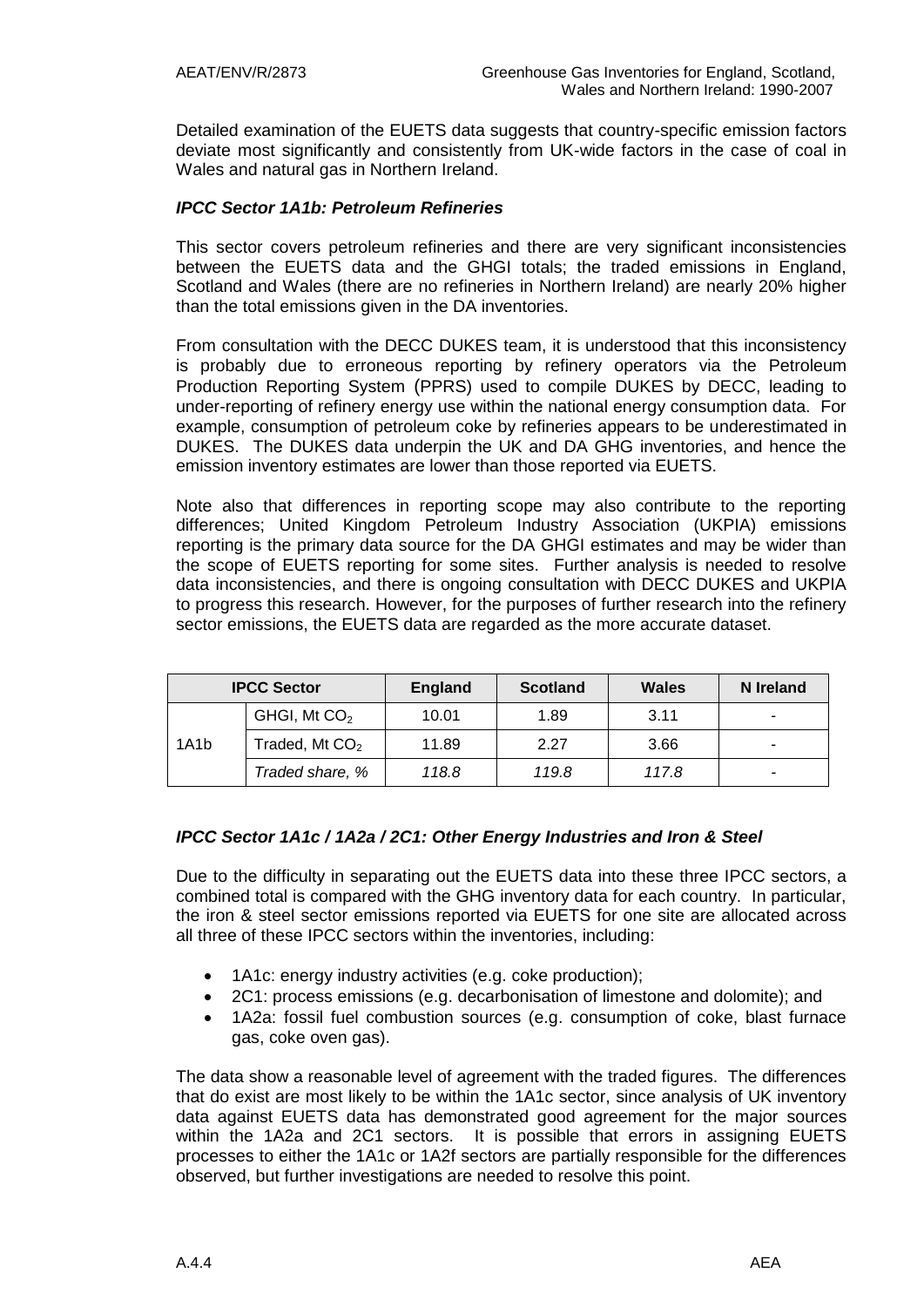Detailed examination of the EUETS data suggests that country-specific emission factors deviate most significantly and consistently from UK-wide factors in the case of coal in Wales and natural gas in Northern Ireland.

### *IPCC Sector 1A1b: Petroleum Refineries*

This sector covers petroleum refineries and there are very significant inconsistencies between the EUETS data and the GHGI totals; the traded emissions in England, Scotland and Wales (there are no refineries in Northern Ireland) are nearly 20% higher than the total emissions given in the DA inventories.

From consultation with the DECC DUKES team, it is understood that this inconsistency is probably due to erroneous reporting by refinery operators via the Petroleum Production Reporting System (PPRS) used to compile DUKES by DECC, leading to under-reporting of refinery energy use within the national energy consumption data. For example, consumption of petroleum coke by refineries appears to be underestimated in DUKES. The DUKES data underpin the UK and DA GHG inventories, and hence the emission inventory estimates are lower than those reported via EUETS.

Note also that differences in reporting scope may also contribute to the reporting differences; United Kingdom Petroleum Industry Association (UKPIA) emissions reporting is the primary data source for the DA GHGI estimates and may be wider than the scope of EUETS reporting for some sites. Further analysis is needed to resolve data inconsistencies, and there is ongoing consultation with DECC DUKES and UKPIA to progress this research. However, for the purposes of further research into the refinery sector emissions, the EUETS data are regarded as the more accurate dataset.

| <b>IPCC Sector</b> |                            | <b>England</b> | <b>Scotland</b> | <b>Wales</b> | N Ireland |
|--------------------|----------------------------|----------------|-----------------|--------------|-----------|
| 1A1b               | GHGI, Mt $CO2$             | 10.01          | 1.89            | 3.11         |           |
|                    | Traded, Mt CO <sub>2</sub> | 11.89          | 2.27            | 3.66         |           |
|                    | Traded share, %            | 118.8          | 119.8           | 117.8        | -         |

## *IPCC Sector 1A1c / 1A2a / 2C1: Other Energy Industries and Iron & Steel*

Due to the difficulty in separating out the EUETS data into these three IPCC sectors, a combined total is compared with the GHG inventory data for each country. In particular, the iron & steel sector emissions reported via EUETS for one site are allocated across all three of these IPCC sectors within the inventories, including:

- 1A1c: energy industry activities (e.g. coke production);
- 2C1: process emissions (e.g. decarbonisation of limestone and dolomite); and
- 1A2a: fossil fuel combustion sources (e.g. consumption of coke, blast furnace gas, coke oven gas).

The data show a reasonable level of agreement with the traded figures. The differences that do exist are most likely to be within the 1A1c sector, since analysis of UK inventory data against EUETS data has demonstrated good agreement for the major sources within the 1A2a and 2C1 sectors. It is possible that errors in assigning EUETS processes to either the 1A1c or 1A2f sectors are partially responsible for the differences observed, but further investigations are needed to resolve this point.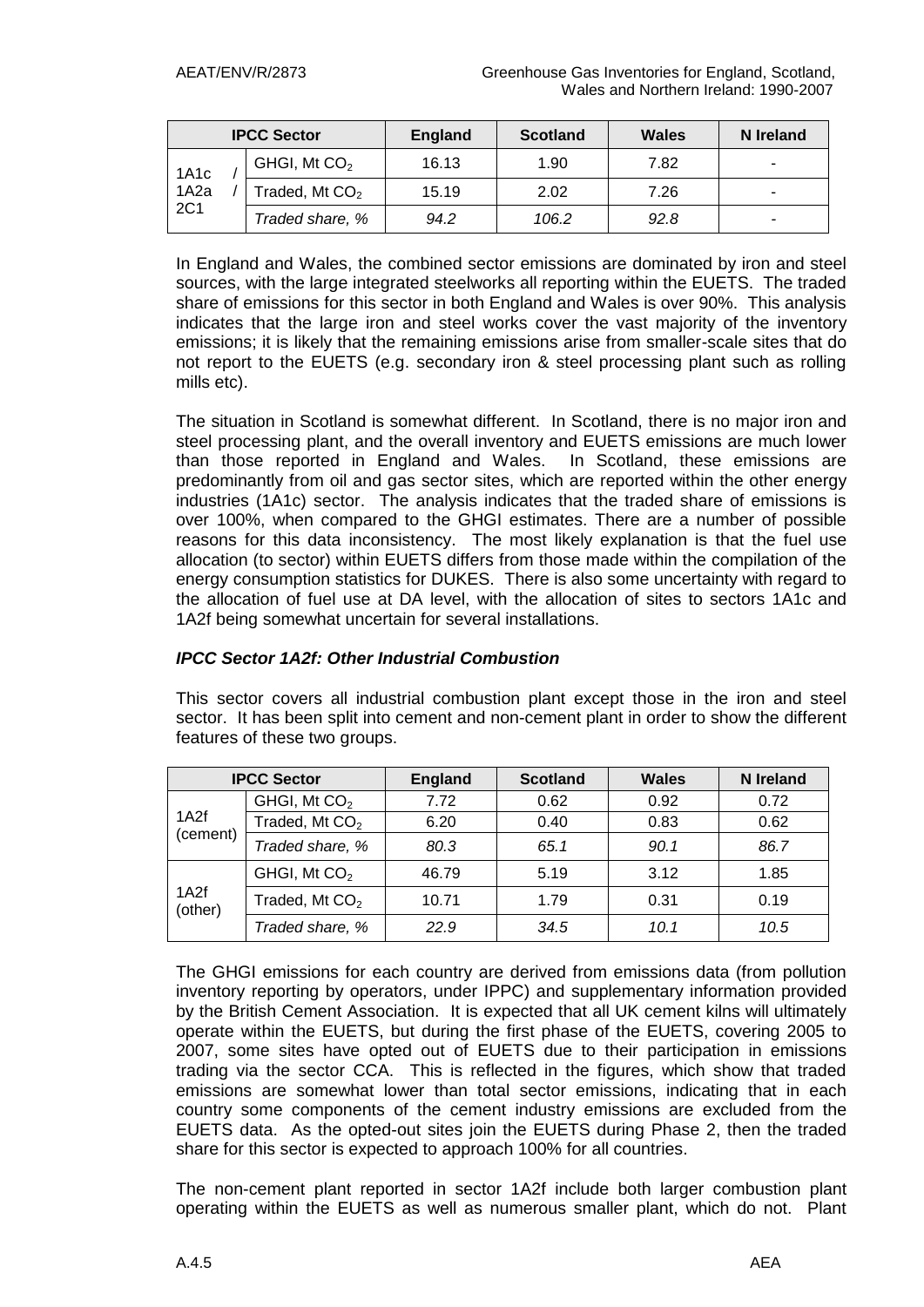| <b>IPCC Sector</b>               |  | <b>England</b>   | <b>Scotland</b> | <b>Wales</b> | N Ireland |   |
|----------------------------------|--|------------------|-----------------|--------------|-----------|---|
| 1A1c<br>1A <sub>2</sub> a<br>2C1 |  | GHGI, Mt $CO2$   | 16.13           | 1.90         | 7.82      | ٠ |
|                                  |  | Traded, Mt $CO2$ | 15.19           | 2.02         | 7.26      |   |
|                                  |  | Traded share, %  | 94.2            | 106.2        | 92.8      | ٠ |

In England and Wales, the combined sector emissions are dominated by iron and steel sources, with the large integrated steelworks all reporting within the EUETS. The traded share of emissions for this sector in both England and Wales is over 90%. This analysis indicates that the large iron and steel works cover the vast majority of the inventory emissions; it is likely that the remaining emissions arise from smaller-scale sites that do not report to the EUETS (e.g. secondary iron & steel processing plant such as rolling mills etc).

The situation in Scotland is somewhat different. In Scotland, there is no major iron and steel processing plant, and the overall inventory and EUETS emissions are much lower than those reported in England and Wales. In Scotland, these emissions are predominantly from oil and gas sector sites, which are reported within the other energy industries (1A1c) sector. The analysis indicates that the traded share of emissions is over 100%, when compared to the GHGI estimates. There are a number of possible reasons for this data inconsistency. The most likely explanation is that the fuel use allocation (to sector) within EUETS differs from those made within the compilation of the energy consumption statistics for DUKES. There is also some uncertainty with regard to the allocation of fuel use at DA level, with the allocation of sites to sectors 1A1c and 1A2f being somewhat uncertain for several installations.

#### *IPCC Sector 1A2f: Other Industrial Combustion*

This sector covers all industrial combustion plant except those in the iron and steel sector. It has been split into cement and non-cement plant in order to show the different features of these two groups.

| <b>IPCC Sector</b> |                            | <b>England</b> | <b>Scotland</b> | <b>Wales</b> | <b>N</b> Ireland |
|--------------------|----------------------------|----------------|-----------------|--------------|------------------|
|                    | GHGI, Mt CO <sub>2</sub>   | 7.72           | 0.62            | 0.92         | 0.72             |
| 1A2f               | Traded, Mt $CO2$           | 6.20           | 0.40            | 0.83         | 0.62             |
| (cement)           | Traded share, %            | 80.3           | 65.1            | 90.1         | 86.7             |
| 1A2f<br>(other)    | GHGI, Mt CO <sub>2</sub>   | 46.79          | 5.19            | 3.12         | 1.85             |
|                    | Traded, Mt CO <sub>2</sub> | 10.71          | 1.79            | 0.31         | 0.19             |
|                    | Traded share, %            | 22.9           | 34.5            | 10.1         | 10.5             |

The GHGI emissions for each country are derived from emissions data (from pollution inventory reporting by operators, under IPPC) and supplementary information provided by the British Cement Association. It is expected that all UK cement kilns will ultimately operate within the EUETS, but during the first phase of the EUETS, covering 2005 to 2007, some sites have opted out of EUETS due to their participation in emissions trading via the sector CCA. This is reflected in the figures, which show that traded emissions are somewhat lower than total sector emissions, indicating that in each country some components of the cement industry emissions are excluded from the EUETS data. As the opted-out sites join the EUETS during Phase 2, then the traded share for this sector is expected to approach 100% for all countries.

The non-cement plant reported in sector 1A2f include both larger combustion plant operating within the EUETS as well as numerous smaller plant, which do not. Plant